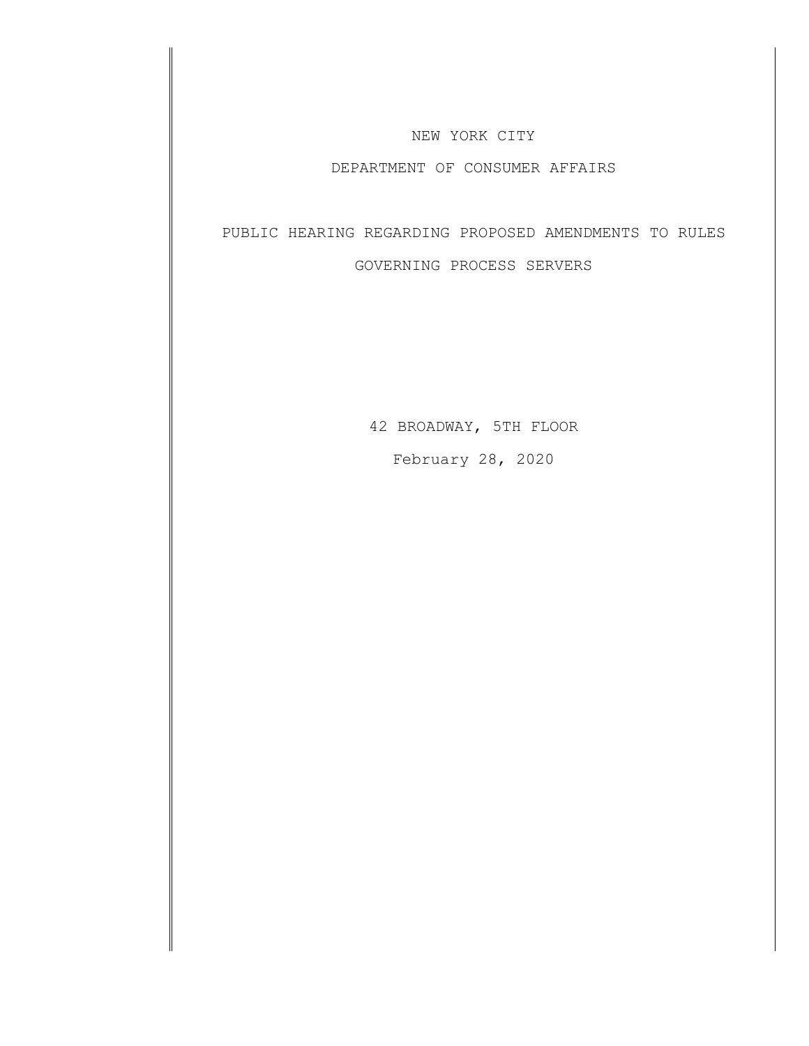#### NEW YORK CITY

### DEPARTMENT OF CONSUMER AFFAIRS

# PUBLIC HEARING REGARDING PROPOSED AMENDMENTS TO RULES GOVERNING PROCESS SERVERS

42 BROADWAY, 5TH FLOOR February 28, 2020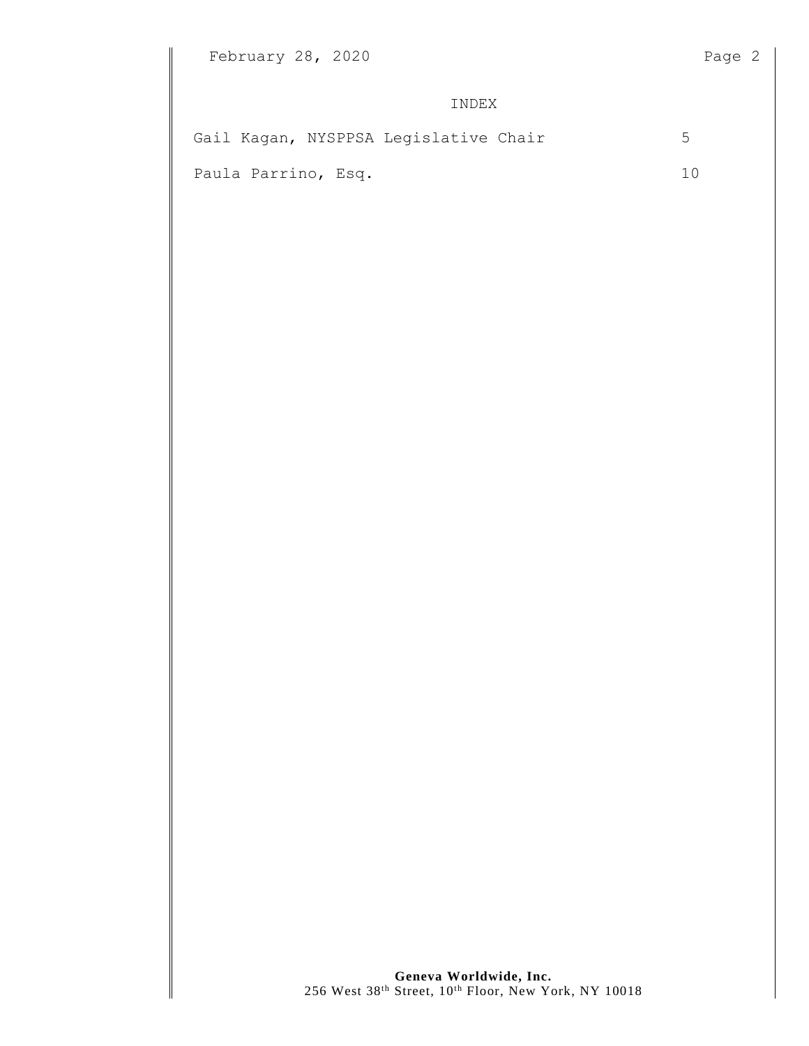### INDEX

|  |                     | Gail Kagan, NYSPPSA Legislative Chair |    |
|--|---------------------|---------------------------------------|----|
|  | Paula Parrino, Esq. |                                       | 10 |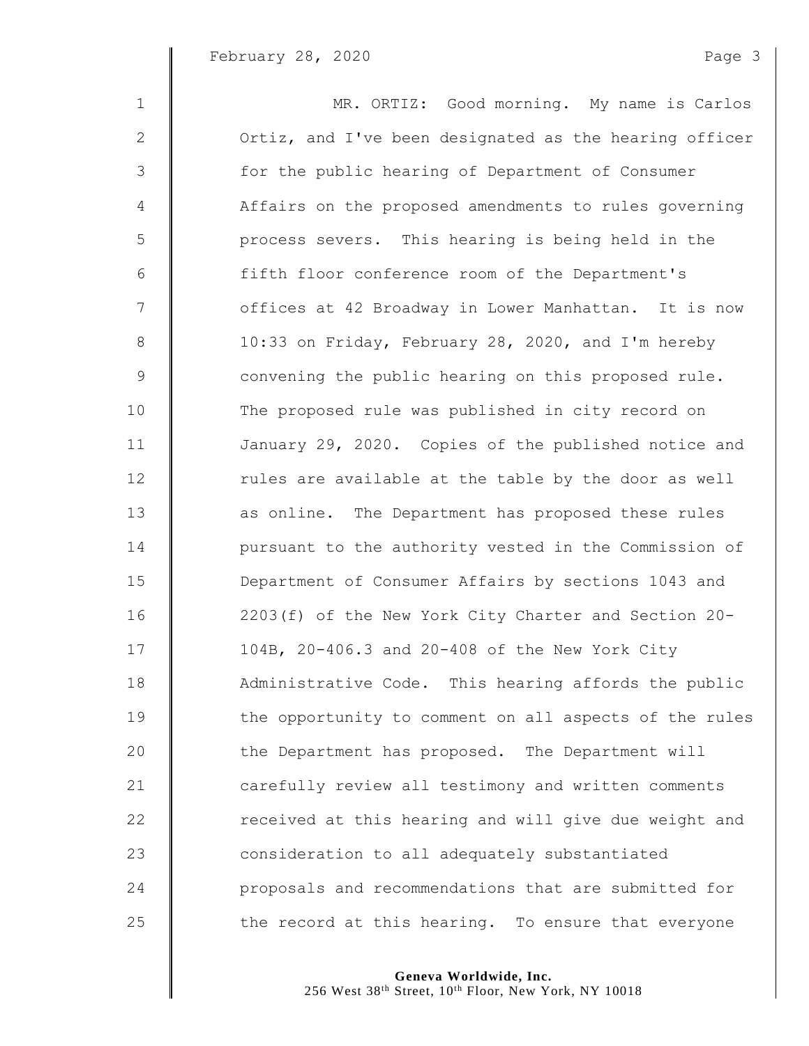| $\mathbf{1}$    | MR. ORTIZ: Good morning. My name is Carlos             |
|-----------------|--------------------------------------------------------|
| $\mathbf{2}$    | Ortiz, and I've been designated as the hearing officer |
| 3               | for the public hearing of Department of Consumer       |
| $\overline{4}$  | Affairs on the proposed amendments to rules governing  |
| 5               | process severs. This hearing is being held in the      |
| $6\,$           | fifth floor conference room of the Department's        |
| $7\phantom{.0}$ | offices at 42 Broadway in Lower Manhattan. It is now   |
| $8\,$           | 10:33 on Friday, February 28, 2020, and I'm hereby     |
| $\mathsf 9$     | convening the public hearing on this proposed rule.    |
| 10              | The proposed rule was published in city record on      |
| 11              | January 29, 2020. Copies of the published notice and   |
| 12              | rules are available at the table by the door as well   |
| 13              | as online. The Department has proposed these rules     |
| 14              | pursuant to the authority vested in the Commission of  |
| 15              | Department of Consumer Affairs by sections 1043 and    |
| 16              | 2203(f) of the New York City Charter and Section 20-   |
| 17              | 104B, 20-406.3 and 20-408 of the New York City         |
| 18              | Administrative Code. This hearing affords the public   |
| 19              | the opportunity to comment on all aspects of the rules |
| 20              | the Department has proposed. The Department will       |
| 21              | carefully review all testimony and written comments    |
| 22              | received at this hearing and will give due weight and  |
| 23              | consideration to all adequately substantiated          |
| 24              | proposals and recommendations that are submitted for   |
| 25              | the record at this hearing. To ensure that everyone    |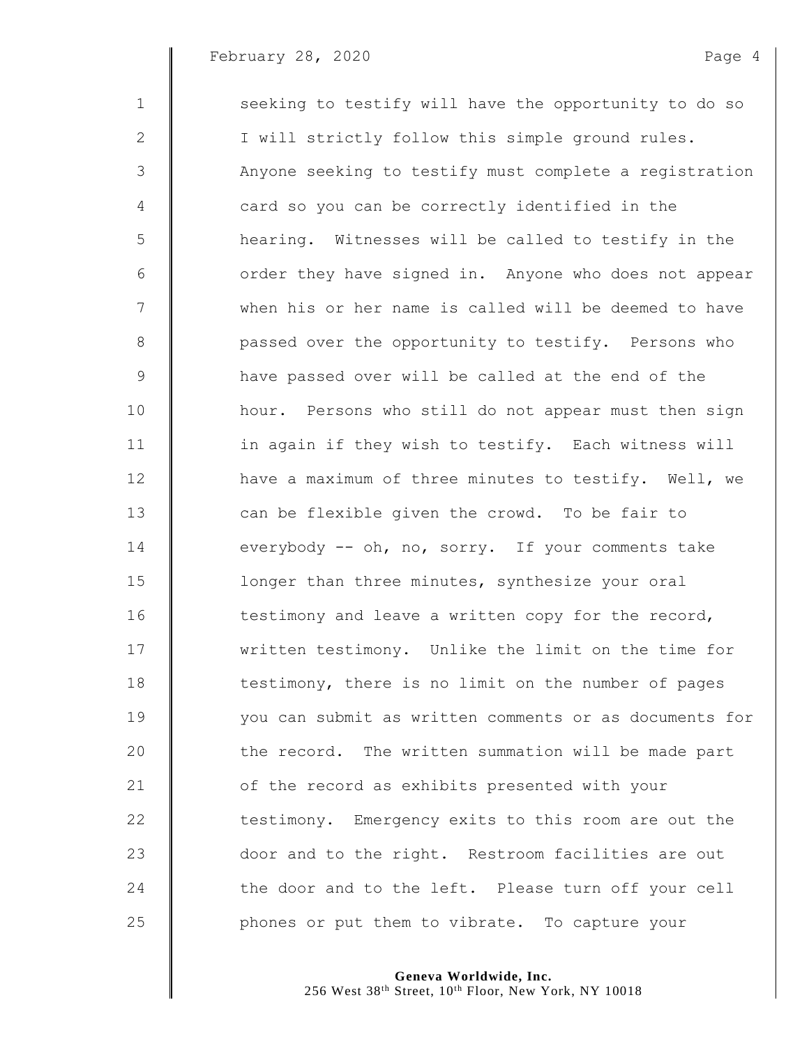| $\mathbf{1}$    | seeking to testify will have the opportunity to do so  |
|-----------------|--------------------------------------------------------|
| $\mathbf{2}$    | I will strictly follow this simple ground rules.       |
| 3               | Anyone seeking to testify must complete a registration |
| 4               | card so you can be correctly identified in the         |
| 5               | hearing. Witnesses will be called to testify in the    |
| $6\,$           | order they have signed in. Anyone who does not appear  |
| $7\phantom{.0}$ | when his or her name is called will be deemed to have  |
| $8\,$           | passed over the opportunity to testify. Persons who    |
| $\overline{9}$  | have passed over will be called at the end of the      |
| 10              | hour. Persons who still do not appear must then sign   |
| 11              | in again if they wish to testify. Each witness will    |
| 12              | have a maximum of three minutes to testify. Well, we   |
| 13              | can be flexible given the crowd. To be fair to         |
| 14              | everybody -- oh, no, sorry. If your comments take      |
| 15              | longer than three minutes, synthesize your oral        |
| 16              | testimony and leave a written copy for the record,     |
| 17              | written testimony. Unlike the limit on the time for    |
| 18              | testimony, there is no limit on the number of pages    |
| 19              | you can submit as written comments or as documents for |
| 20              | the record. The written summation will be made part    |
| 21              | of the record as exhibits presented with your          |
| 22              | testimony. Emergency exits to this room are out the    |
| 23              | door and to the right. Restroom facilities are out     |
| 24              | the door and to the left. Please turn off your cell    |
| 25              | phones or put them to vibrate. To capture your         |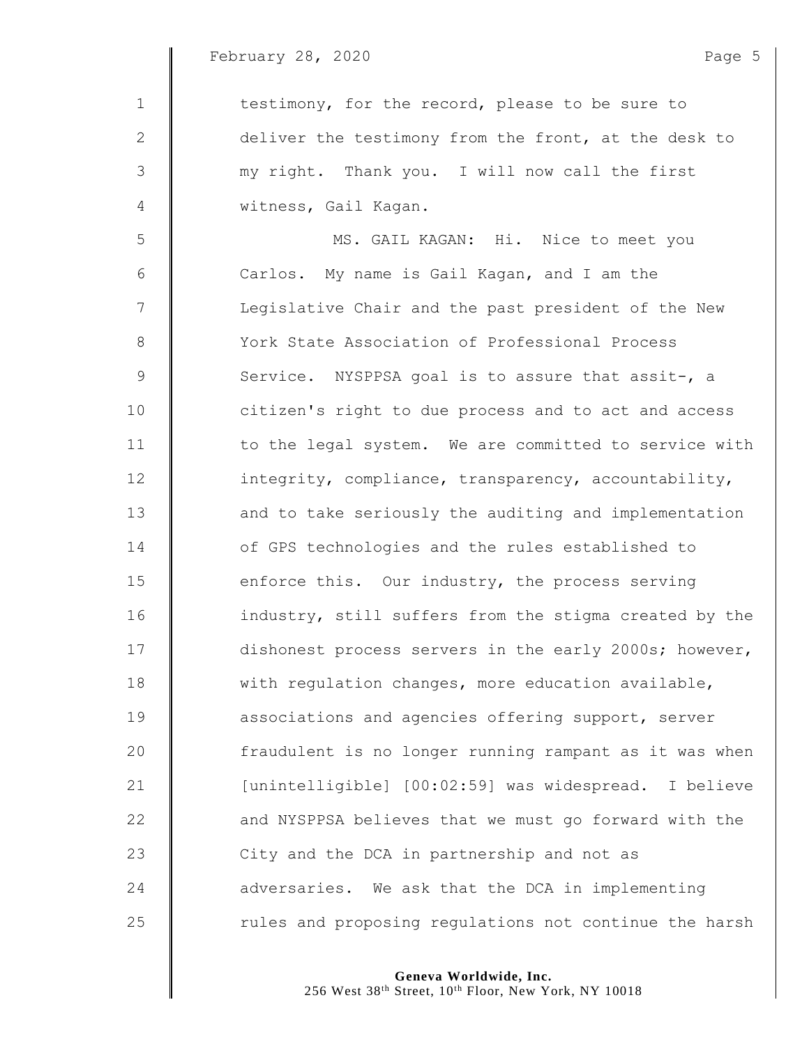| $\mathbf 1$    | testimony, for the record, please to be sure to        |
|----------------|--------------------------------------------------------|
| $\mathbf{2}$   | deliver the testimony from the front, at the desk to   |
| 3              | my right. Thank you. I will now call the first         |
| $\overline{4}$ | witness, Gail Kagan.                                   |
| 5              | MS. GAIL KAGAN: Hi. Nice to meet you                   |
| 6              | Carlos. My name is Gail Kagan, and I am the            |
| $\overline{7}$ | Legislative Chair and the past president of the New    |
| $8\,$          | York State Association of Professional Process         |
| $\mathsf 9$    | Service. NYSPPSA goal is to assure that assit-, a      |
| 10             | citizen's right to due process and to act and access   |
| 11             | to the legal system. We are committed to service with  |
| 12             | integrity, compliance, transparency, accountability,   |
| 13             | and to take seriously the auditing and implementation  |
| 14             | of GPS technologies and the rules established to       |
| 15             | enforce this. Our industry, the process serving        |
| 16             | industry, still suffers from the stigma created by the |
| 17             | dishonest process servers in the early 2000s; however, |
| 18             | with regulation changes, more education available,     |
| 19             | associations and agencies offering support, server     |
| 20             | fraudulent is no longer running rampant as it was when |
| 21             | [unintelligible] [00:02:59] was widespread. I believe  |
| 22             | and NYSPPSA believes that we must go forward with the  |
| 23             | City and the DCA in partnership and not as             |
| 24             | adversaries. We ask that the DCA in implementing       |
| 25             | rules and proposing regulations not continue the harsh |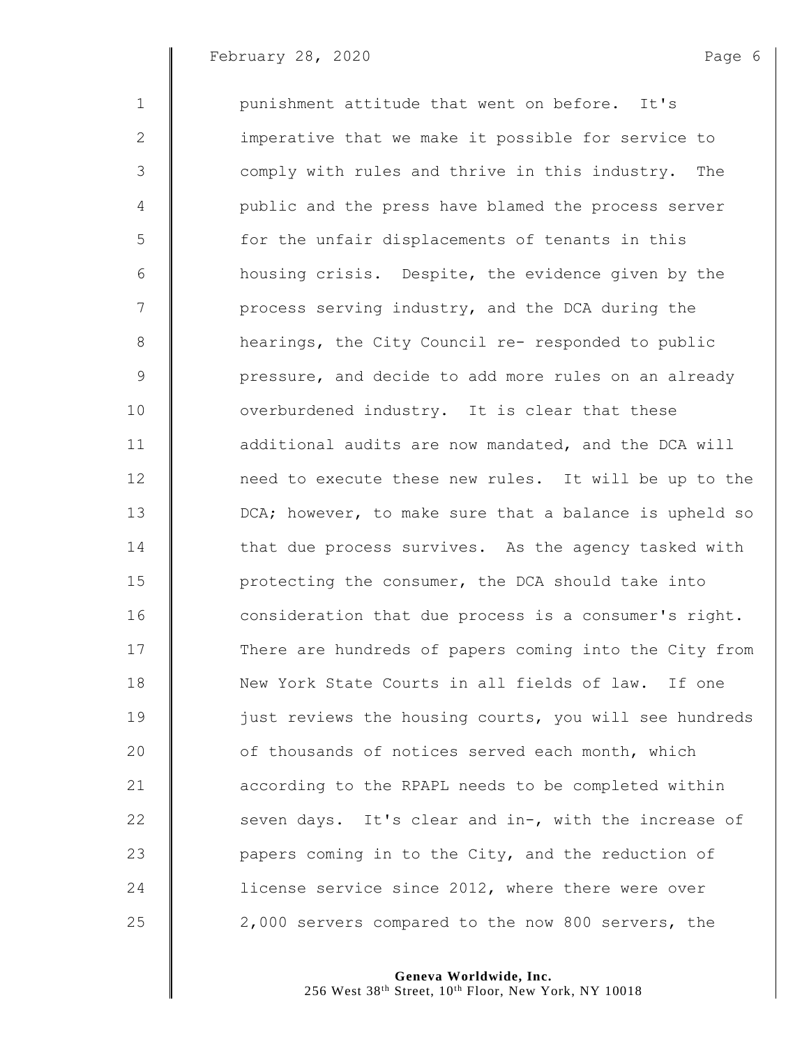# February 28, 2020 and the contract of the Page 6

| $\mathbf{1}$ | punishment attitude that went on before. It's          |
|--------------|--------------------------------------------------------|
| 2            | imperative that we make it possible for service to     |
| 3            | comply with rules and thrive in this industry. The     |
| 4            | public and the press have blamed the process server    |
| 5            | for the unfair displacements of tenants in this        |
| 6            | housing crisis. Despite, the evidence given by the     |
| 7            | process serving industry, and the DCA during the       |
| 8            | hearings, the City Council re- responded to public     |
| $\mathsf 9$  | pressure, and decide to add more rules on an already   |
| 10           | overburdened industry. It is clear that these          |
| 11           | additional audits are now mandated, and the DCA will   |
| 12           | need to execute these new rules. It will be up to the  |
| 13           | DCA; however, to make sure that a balance is upheld so |
| 14           | that due process survives. As the agency tasked with   |
| 15           | protecting the consumer, the DCA should take into      |
| 16           | consideration that due process is a consumer's right.  |
| 17           | There are hundreds of papers coming into the City from |
| 18           | New York State Courts in all fields of law. If one     |
| 19           | just reviews the housing courts, you will see hundreds |
| 20           | of thousands of notices served each month, which       |
| 21           | according to the RPAPL needs to be completed within    |
| 22           | seven days. It's clear and in-, with the increase of   |
| 23           | papers coming in to the City, and the reduction of     |
| 24           | license service since 2012, where there were over      |
| 25           | 2,000 servers compared to the now 800 servers, the     |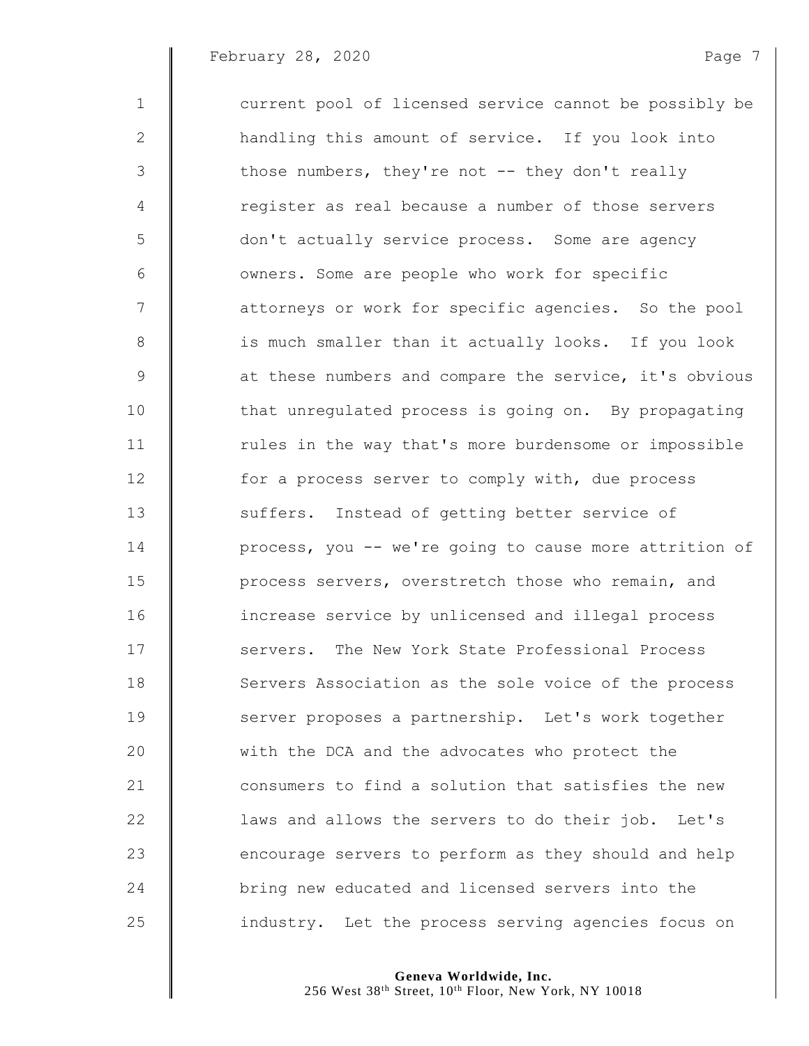February 28, 2020 **Page 7** Page 7

1 current pool of licensed service cannot be possibly be 2 | handling this amount of service. If you look into 3 Those numbers, they're not -- they don't really 4 The register as real because a number of those servers 5 don't actually service process. Some are agency 6 | Owners. Some are people who work for specific 7  $\parallel$  attorneys or work for specific agencies. So the pool 8 || is much smaller than it actually looks. If you look 9  $\parallel$  at these numbers and compare the service, it's obvious 10 **that unregulated process is going on.** By propagating 11 Tules in the way that's more burdensome or impossible 12 | for a process server to comply with, due process 13 Suffers. Instead of getting better service of 14 **process, you -- we're going to cause more attrition of** 15 **Quare Exercise** overstretch those who remain, and 16 **increase service by unlicensed and illegal process** 17 | Servers. The New York State Professional Process 18 Servers Association as the sole voice of the process 19 Server proposes a partnership. Let's work together 20 **with the DCA and the advocates who protect the** 21 **consumers to find a solution that satisfies the new** 22 | laws and allows the servers to do their job. Let's 23 **e**ncourage servers to perform as they should and help 24 bring new educated and licensed servers into the 25 | industry. Let the process serving agencies focus on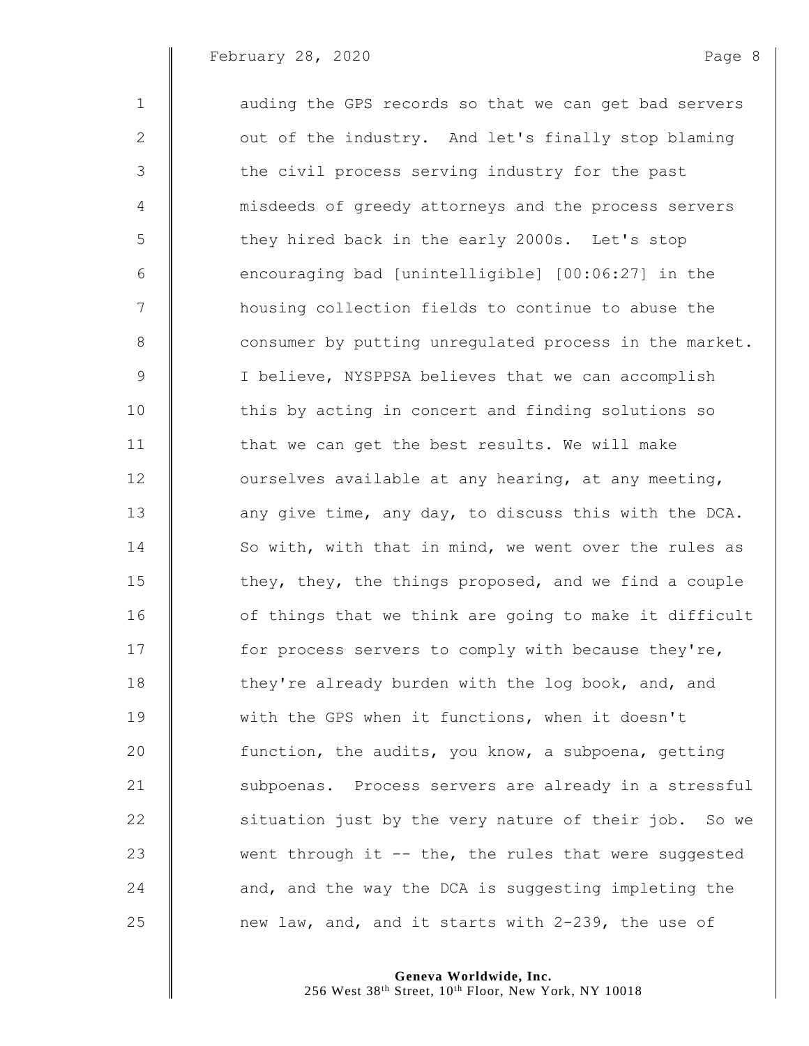February 28, 2020 **Page 8** 

1 **dec** auding the GPS records so that we can get bad servers 2 | out of the industry. And let's finally stop blaming 3 the civil process serving industry for the past 4 misdeeds of greedy attorneys and the process servers 5 | they hired back in the early 2000s. Let's stop  $6 \parallel$  encouraging bad [unintelligible]  $[00:06:27]$  in the 7 housing collection fields to continue to abuse the 8 **consumer** by putting unregulated process in the market. 9 | I believe, NYSPPSA believes that we can accomplish 10 this by acting in concert and finding solutions so 11 **that we can get the best results. We will make** 12 **| |** ourselves available at any hearing, at any meeting, 13 **a** any give time, any day, to discuss this with the DCA. 14 So with, with that in mind, we went over the rules as 15  $\parallel$  they, they, the things proposed, and we find a couple 16 **o**f things that we think are going to make it difficult 17 for process servers to comply with because they're, 18 **they're already burden with the log book, and, and** 19 With the GPS when it functions, when it doesn't 20 **function, the audits, you know, a subpoena, getting** 21 | Subpoenas. Process servers are already in a stressful 22 | situation just by the very nature of their job. So we 23 went through it -- the, the rules that were suggested 24  $\parallel$  and, and the way the DCA is suggesting impleting the 25  $\parallel$  new law, and, and it starts with 2-239, the use of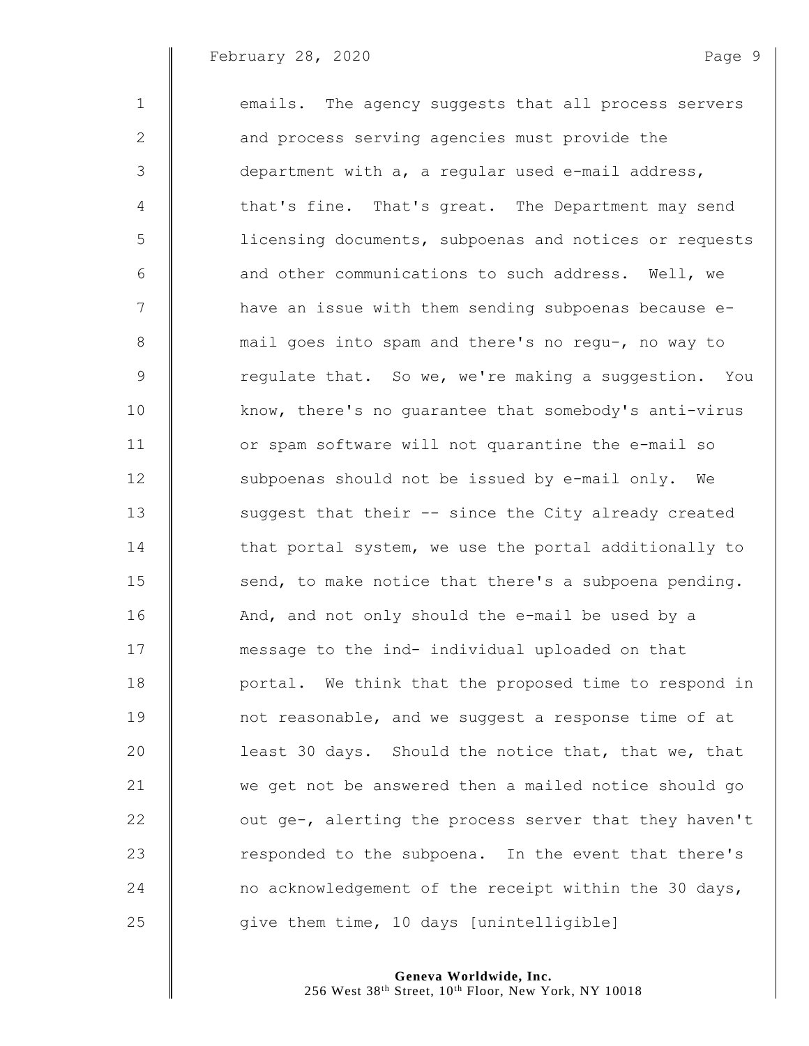| $\mathbf{1}$   | emails. The agency suggests that all process servers   |
|----------------|--------------------------------------------------------|
| $\mathbf{2}$   | and process serving agencies must provide the          |
| 3              | department with a, a regular used e-mail address,      |
| $\overline{4}$ | that's fine. That's great. The Department may send     |
| 5              | licensing documents, subpoenas and notices or requests |
| $6\,$          | and other communications to such address. Well, we     |
| 7              | have an issue with them sending subpoenas because e-   |
| $8\,$          | mail goes into spam and there's no regu-, no way to    |
| $\mathsf 9$    | regulate that. So we, we're making a suggestion. You   |
| 10             | know, there's no quarantee that somebody's anti-virus  |
| 11             | or spam software will not quarantine the e-mail so     |
| 12             | subpoenas should not be issued by e-mail only. We      |
| 13             | suggest that their -- since the City already created   |
| 14             | that portal system, we use the portal additionally to  |
| 15             | send, to make notice that there's a subpoena pending.  |
| 16             | And, and not only should the e-mail be used by a       |
| 17             | message to the ind- individual uploaded on that        |
| 18             | portal. We think that the proposed time to respond in  |
| 19             | not reasonable, and we suggest a response time of at   |
| 20             | least 30 days. Should the notice that, that we, that   |
| 21             | we get not be answered then a mailed notice should go  |
| 22             | out ge-, alerting the process server that they haven't |
| 23             | responded to the subpoena. In the event that there's   |
| 24             | no acknowledgement of the receipt within the 30 days,  |
| 25             | give them time, 10 days [unintelligible]               |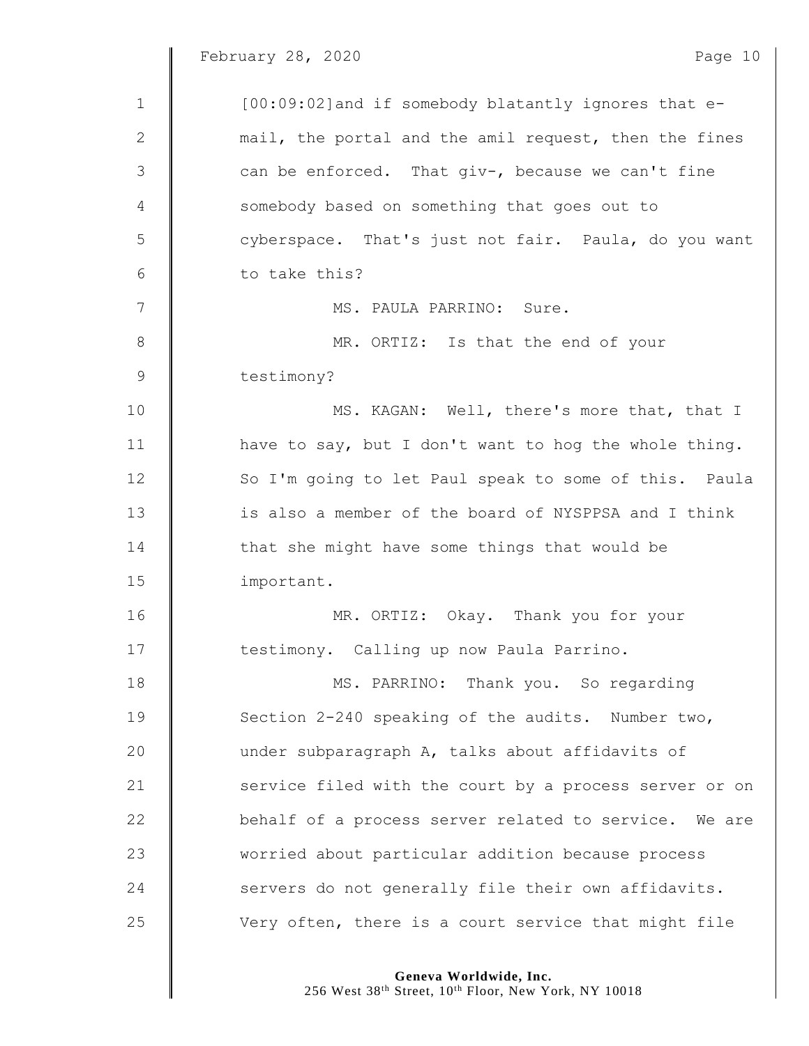February ,  $2020$ 

 $\parallel$ 

| $\epsilon$<br>٦.<br>~ |  |
|-----------------------|--|
|                       |  |

| $\mathbf 1$ | [00:09:02] and if somebody blatantly ignores that e-   |
|-------------|--------------------------------------------------------|
| 2           | mail, the portal and the amil request, then the fines  |
| 3           | can be enforced. That giv-, because we can't fine      |
| 4           | somebody based on something that goes out to           |
| 5           | cyberspace. That's just not fair. Paula, do you want   |
| 6           | to take this?                                          |
| 7           | MS. PAULA PARRINO: Sure.                               |
| 8           | MR. ORTIZ: Is that the end of your                     |
| 9           | testimony?                                             |
| 10          | MS. KAGAN: Well, there's more that, that I             |
| 11          | have to say, but I don't want to hog the whole thing.  |
| 12          | So I'm going to let Paul speak to some of this. Paula  |
| 13          | is also a member of the board of NYSPPSA and I think   |
| 14          | that she might have some things that would be          |
| 15          | important.                                             |
| 16          | MR. ORTIZ: Okay. Thank you for your                    |
| 17          | testimony. Calling up now Paula Parrino.               |
| 18          | MS. PARRINO: Thank you. So regarding                   |
| 19          | Section 2-240 speaking of the audits. Number two,      |
| 20          | under subparagraph A, talks about affidavits of        |
| 21          | service filed with the court by a process server or on |
| 22          | behalf of a process server related to service. We are  |
| 23          | worried about particular addition because process      |
| 24          | servers do not generally file their own affidavits.    |
| 25          | Very often, there is a court service that might file   |
|             |                                                        |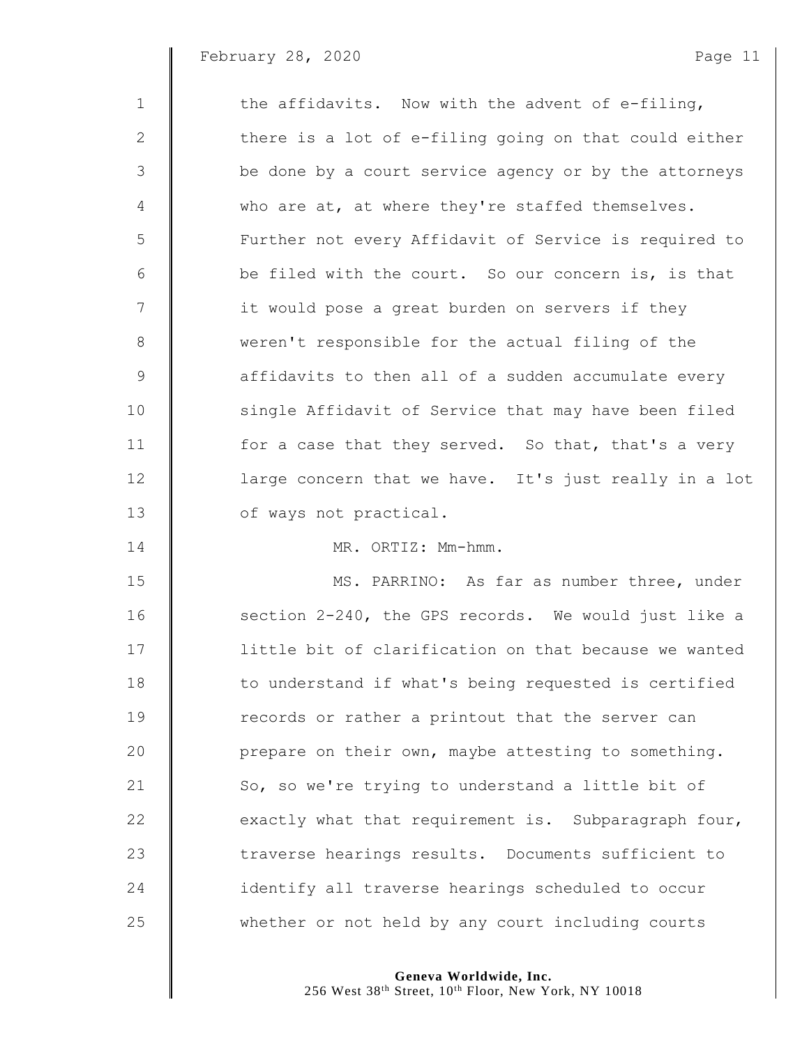| $\mathbf{1}$ | the affidavits. Now with the advent of e-filing,      |
|--------------|-------------------------------------------------------|
| 2            | there is a lot of e-filing going on that could either |
| 3            | be done by a court service agency or by the attorneys |
| 4            | who are at, at where they're staffed themselves.      |
| 5            | Further not every Affidavit of Service is required to |
| $6\,$        | be filed with the court. So our concern is, is that   |
| 7            | it would pose a great burden on servers if they       |
| 8            | weren't responsible for the actual filing of the      |
| 9            | affidavits to then all of a sudden accumulate every   |
| 10           | single Affidavit of Service that may have been filed  |
| 11           | for a case that they served. So that, that's a very   |
| 12           | large concern that we have. It's just really in a lot |
| 13           | of ways not practical.                                |
| 14           | MR. ORTIZ: Mm-hmm.                                    |
| 15           | MS. PARRINO: As far as number three, under            |
| 16           | section 2-240, the GPS records. We would just like a  |
| 17           | little bit of clarification on that because we wanted |
| 18           | to understand if what's being requested is certified  |
| 19           | records or rather a printout that the server can      |
| 20           | prepare on their own, maybe attesting to something.   |
| 21           | So, so we're trying to understand a little bit of     |
| 22           | exactly what that requirement is. Subparagraph four,  |
| 23           | traverse hearings results. Documents sufficient to    |
| 24           | identify all traverse hearings scheduled to occur     |
| 25           | whether or not held by any court including courts     |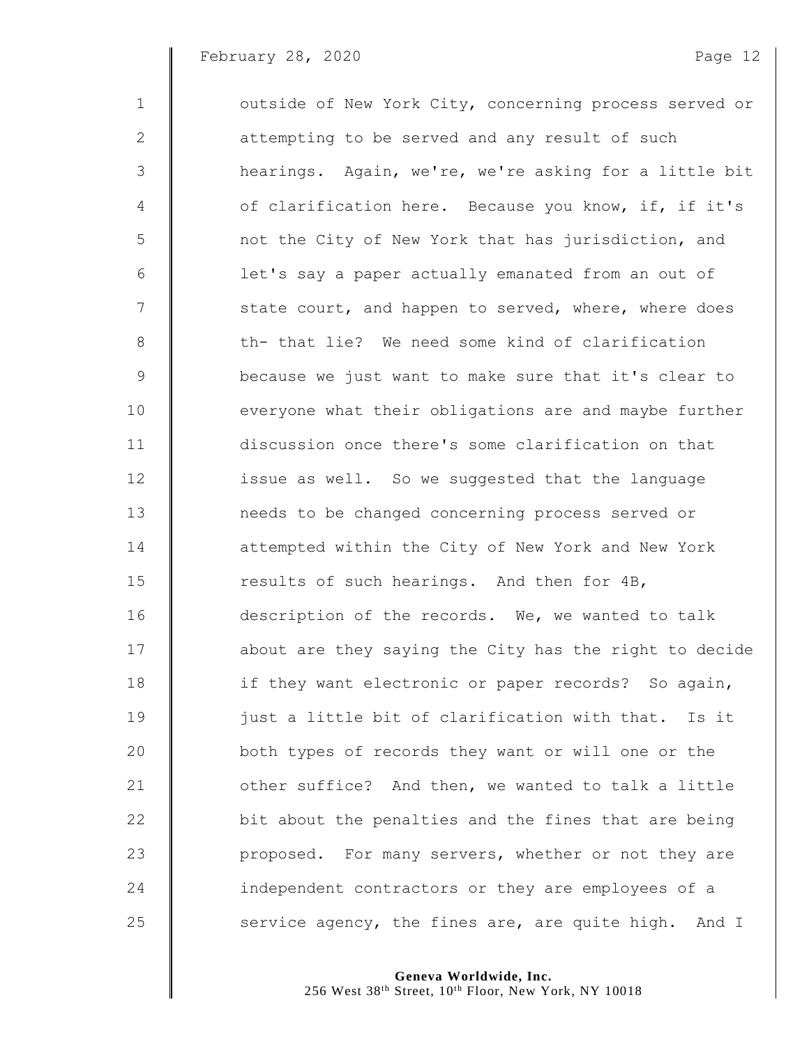February 28, 2020 **Page 12** 

| $\mathbf 1$  | outside of New York City, concerning process served or |
|--------------|--------------------------------------------------------|
| $\mathbf{2}$ | attempting to be served and any result of such         |
| 3            | hearings. Again, we're, we're asking for a little bit  |
| 4            | of clarification here. Because you know, if, if it's   |
| 5            | not the City of New York that has jurisdiction, and    |
| 6            | let's say a paper actually emanated from an out of     |
| 7            | state court, and happen to served, where, where does   |
| 8            | th- that lie? We need some kind of clarification       |
| $\mathsf 9$  | because we just want to make sure that it's clear to   |
| 10           | everyone what their obligations are and maybe further  |
| 11           | discussion once there's some clarification on that     |
| 12           | issue as well. So we suggested that the language       |
| 13           | needs to be changed concerning process served or       |
| 14           | attempted within the City of New York and New York     |
| 15           | results of such hearings. And then for 4B,             |
| 16           | description of the records. We, we wanted to talk      |
| 17           | about are they saying the City has the right to decide |
| 18           | if they want electronic or paper records? So again,    |
| 19           | just a little bit of clarification with that. Is it    |
| 20           | both types of records they want or will one or the     |
| 21           | other suffice? And then, we wanted to talk a little    |
| 22           | bit about the penalties and the fines that are being   |
| 23           | proposed. For many servers, whether or not they are    |
| 24           | independent contractors or they are employees of a     |
| 25           | service agency, the fines are, are quite high. And I   |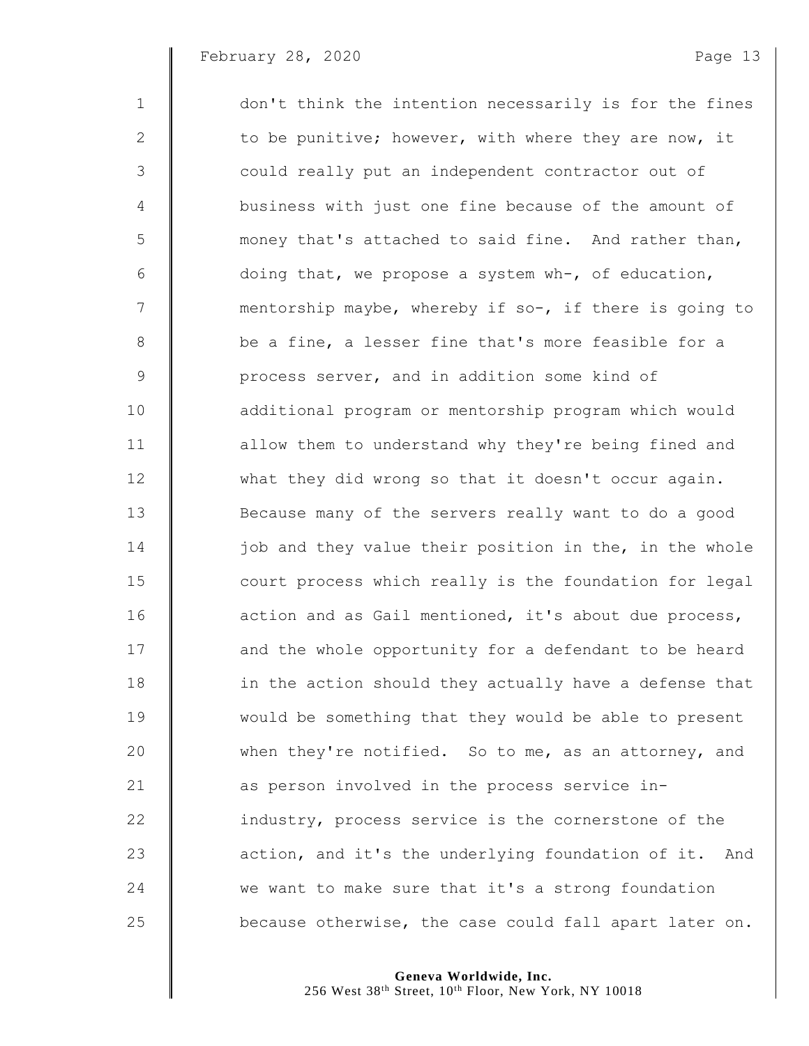| $\mathbf{1}$ | don't think the intention necessarily is for the fines |
|--------------|--------------------------------------------------------|
| $\mathbf{2}$ | to be punitive; however, with where they are now, it   |
| 3            | could really put an independent contractor out of      |
| 4            | business with just one fine because of the amount of   |
| 5            | money that's attached to said fine. And rather than,   |
| 6            | doing that, we propose a system wh-, of education,     |
| 7            | mentorship maybe, whereby if so-, if there is going to |
| 8            | be a fine, a lesser fine that's more feasible for a    |
| $\mathsf 9$  | process server, and in addition some kind of           |
| 10           | additional program or mentorship program which would   |
| 11           | allow them to understand why they're being fined and   |
| 12           | what they did wrong so that it doesn't occur again.    |
| 13           | Because many of the servers really want to do a good   |
| 14           | job and they value their position in the, in the whole |
| 15           | court process which really is the foundation for legal |
| 16           | action and as Gail mentioned, it's about due process,  |
| 17           | and the whole opportunity for a defendant to be heard  |
| 18           | in the action should they actually have a defense that |
| 19           | would be something that they would be able to present  |
| 20           | when they're notified. So to me, as an attorney, and   |
| 21           | as person involved in the process service in-          |
| 22           | industry, process service is the cornerstone of the    |
| 23           | action, and it's the underlying foundation of it. And  |
| 24           | we want to make sure that it's a strong foundation     |
| 25           | because otherwise, the case could fall apart later on. |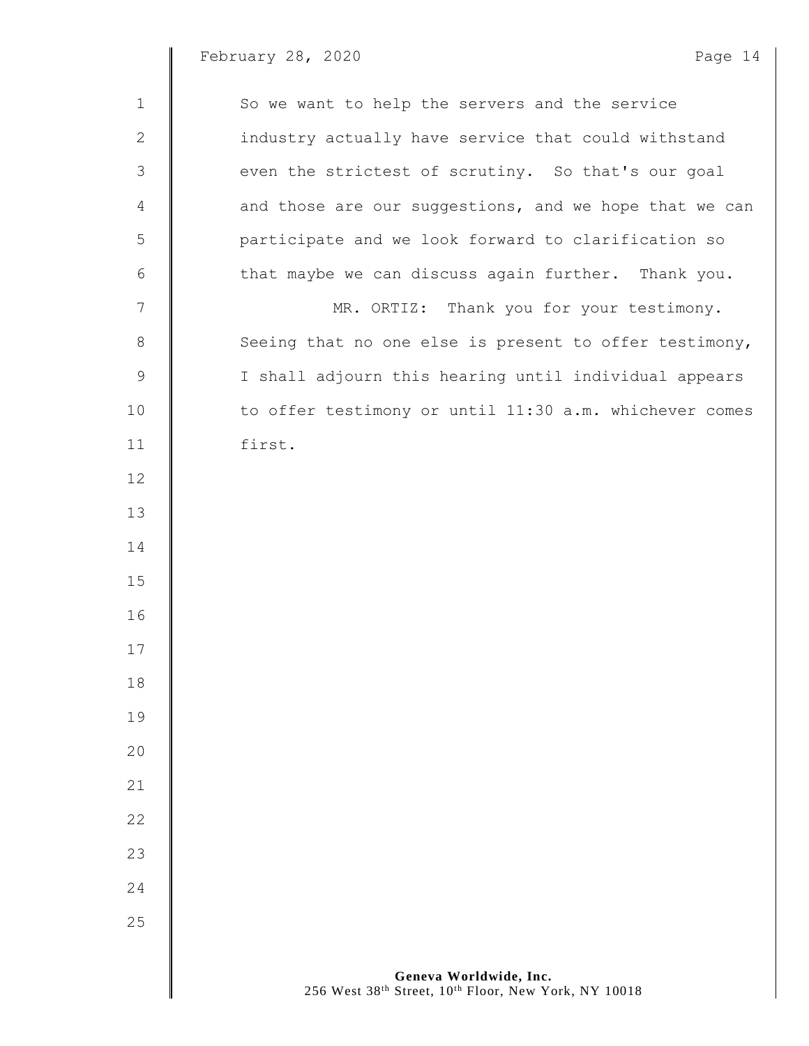February 28, 2020 **Page 14** 

1 So we want to help the servers and the service 2 | industry actually have service that could withstand 3 even the strictest of scrutiny. So that's our goal 4 | and those are our suggestions, and we hope that we can 5 | participate and we look forward to clarification so  $\parallel$  that maybe we can discuss again further. Thank you. 7 || MR. ORTIZ: Thank you for your testimony. | Seeing that no one else is present to offer testimony, I shall adjourn this hearing until individual appears 10 | to offer testimony or until 11:30 a.m. whichever comes first.